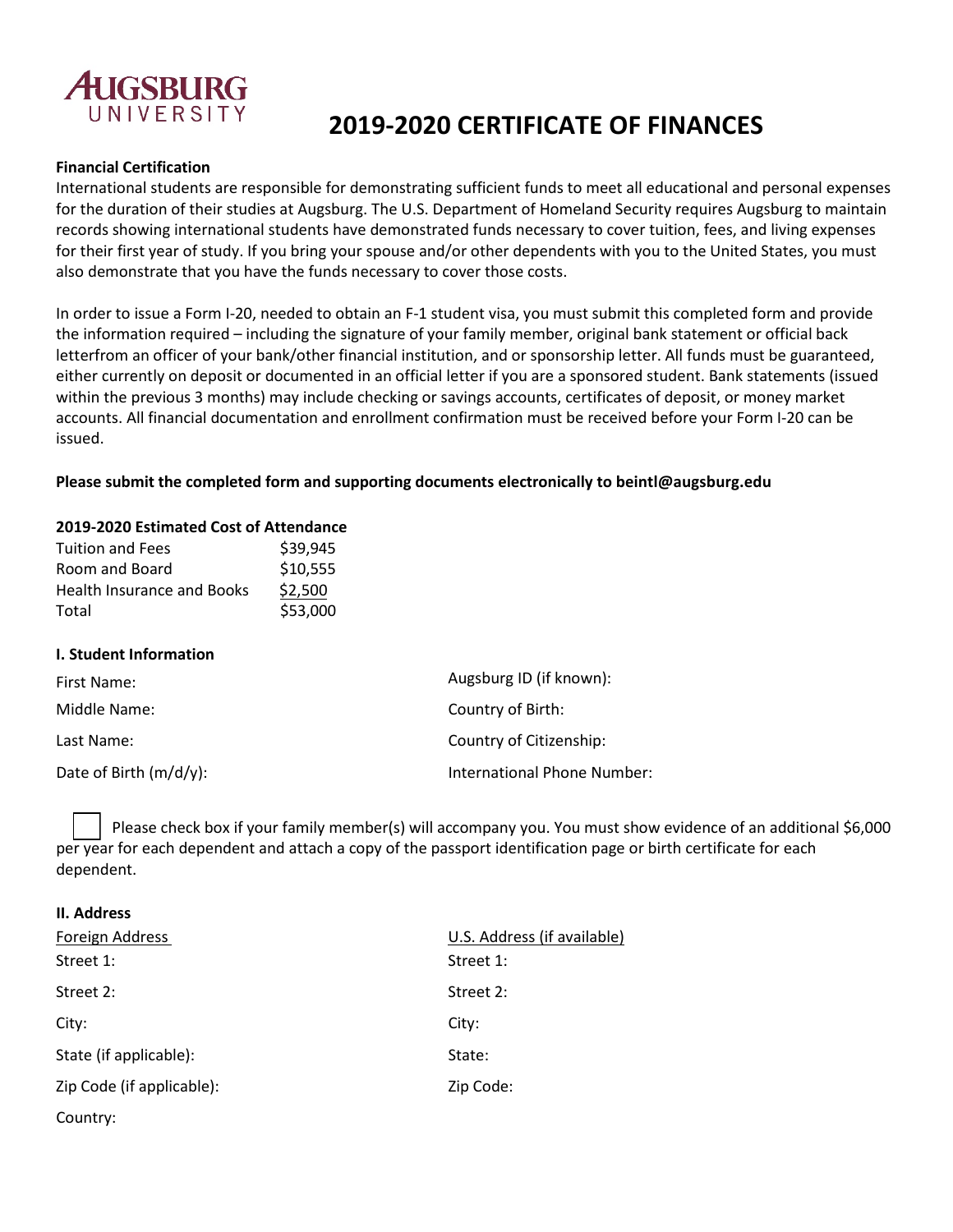

# **2019-2020 CERTIFICATE OF FINANCES**

### **Financial Certification**

International students are responsible for demonstrating sufficient funds to meet all educational and personal expenses for the duration of their studies at Augsburg. The U.S. Department of Homeland Security requires Augsburg to maintain records showing international students have demonstrated funds necessary to cover tuition, fees, and living expenses for their first year of study. If you bring your spouse and/or other dependents with you to the United States, you must also demonstrate that you have the funds necessary to cover those costs.

In order to issue a Form I-20, needed to obtain an F-1 student visa, you must submit this completed form and provide the information required – including the signature of your family member, original bank statement or official back letterfrom an officer of your bank/other financial institution, and or sponsorship letter. All funds must be guaranteed, either currently on deposit or documented in an official letter if you are a sponsored student. Bank statements (issued within the previous 3 months) may include checking or savings accounts, certificates of deposit, or money market accounts. All financial documentation and enrollment confirmation must be received before your Form I-20 can be issued.

### **Please submit the completed form and supporting documents electronically to [beintl@augs](mailto:beintl@augsburg.edu)burg.edu**

### **2019-2020 Estimated Cost of Attendance**

| <b>Tuition and Fees</b>           | \$39,945 |
|-----------------------------------|----------|
| Room and Board                    | \$10,555 |
| <b>Health Insurance and Books</b> | \$2,500  |
| Total                             | \$53,000 |

#### **I. Student Information**

| First Name:            | Augsburg ID (if known):     |
|------------------------|-----------------------------|
| Middle Name:           | Country of Birth:           |
| Last Name:             | Country of Citizenship:     |
| Date of Birth (m/d/y): | International Phone Number: |

Please check box if your family member(s) will accompany you. You must show evidence of an additional \$6,000 per year for each dependent and attach a copy of the passport identification page or birth certificate for each dependent.

#### **II. Address**

| Foreign Address           | U.S. Address (if available) |
|---------------------------|-----------------------------|
| Street 1:                 | Street 1:                   |
| Street 2:                 | Street 2:                   |
| City:                     | City:                       |
| State (if applicable):    | State:                      |
| Zip Code (if applicable): | Zip Code:                   |
| Country:                  |                             |